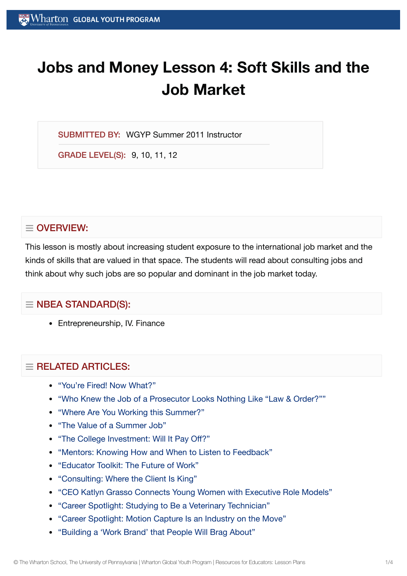# **Jobs and Money Lesson 4: Soft Skills and the Job Market**

SUBMITTED BY: WGYP Summer 2011 Instructor

GRADE LEVEL(S): 9, 10, 11, 12

# $\equiv$  OVERVIEW:

This lesson is mostly about increasing student exposure to the international job market and the kinds of skills that are valued in that space. The students will read about consulting jobs and think about why such jobs are so popular and dominant in the job market today.

# $\equiv$  NBEA STANDARD(S):

• Entrepreneurship, IV. Finance

# $=$  RELATED ARTICLES:

- "You're Fired! Now [What?"](https://globalyouth.wharton.upenn.edu/articles/youre-fired-now-what/)
- "Who Knew the Job of a Prosecutor [Looks Nothing](https://globalyouth.wharton.upenn.edu/articles/who-knew-the-job-of-a-prosecutor-looks-nothing-like-law-order/) Like "Law & Order?""
- "Where Are You Working [this Summer?"](https://globalyouth.wharton.upenn.edu/articles/where-are-you-working-this-summer/)
- "The Value of a [Summer](https://globalyouth.wharton.upenn.edu/articles/value-summer-job/) Job"
- "The College [Investment:](https://globalyouth.wharton.upenn.edu/articles/the-college-investment-will-it-pay-off/) Will It Pay Off?"
- "Mentors: Knowing How and When to Listen to [Feedback"](https://globalyouth.wharton.upenn.edu/articles/mentors-knowing-listen-feedback-advice/)
- ["Educator](https://globalyouth.wharton.upenn.edu/articles/educator-toolkit-future-work/) Toolkit: The Future of Work"
- ["Consulting:](https://globalyouth.wharton.upenn.edu/articles/consulting-where-the-client-is-always-king/) Where the Client Is King"
- "CEO Katlyn Grasso [Connects Young](https://globalyouth.wharton.upenn.edu/articles/katlyn-grasso-young-women-executive-role-models/) Women with Executive Role Models"
- "Career Spotlight: Studying to Be a [Veterinary Technician"](https://globalyouth.wharton.upenn.edu/articles/career-spotlight-studying-to-be-a-veterinary-technician/)
- "Career Spotlight: Motion Capture Is an [Industry on](https://globalyouth.wharton.upenn.edu/articles/careers-motion-capture-industry-on-the-move/) the Move"
- ["Building](https://globalyouth.wharton.upenn.edu/articles/a-work-brand-people-will-brag-about/) a 'Work Brand' that People Will Brag About"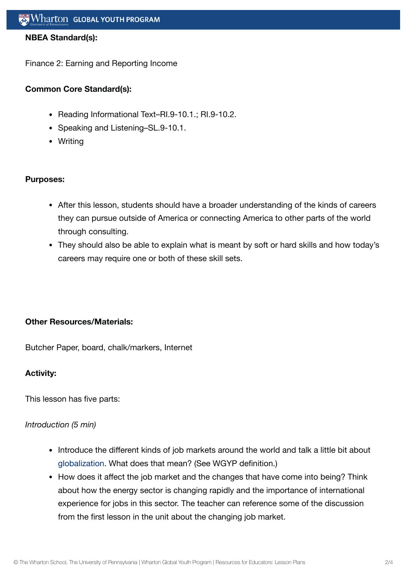#### **NBEA Standard(s):**

Finance 2: Earning and Reporting Income

## **Common Core Standard(s):**

- Reading Informational Text-RI.9-10.1.; RI.9-10.2.
- Speaking and Listening-SL.9-10.1.
- Writing

#### **Purposes:**

- After this lesson, students should have a broader understanding of the kinds of careers they can pursue outside of America or connecting America to other parts of the world through consulting.
- They should also be able to explain what is meant by soft or hard skills and how today's careers may require one or both of these skill sets.

## **Other Resources/Materials:**

Butcher Paper, board, chalk/markers, Internet

#### **Activity:**

This lesson has five parts:

#### *Introduction (5 min)*

- Introduce the different kinds of job markets around the world and talk a little bit about [globalization](https://globalyouth.wharton.upenn.edu/glossary/globalization/). What does that mean? (See WGYP definition.)
- How does it affect the job market and the changes that have come into being? Think about how the energy sector is changing rapidly and the importance of international experience for jobs in this sector. The teacher can reference some of the discussion from the first lesson in the unit about the changing job market.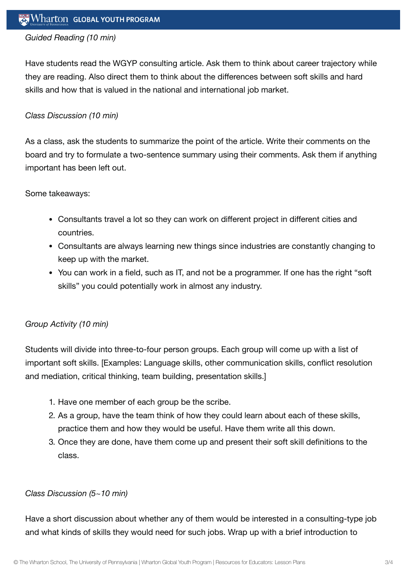## *Guided Reading (10 min)*

Have students read the WGYP consulting article. Ask them to think about career trajectory while they are reading. Also direct them to think about the differences between soft skills and hard skills and how that is valued in the national and international job market.

#### *Class Discussion (10 min)*

As a class, ask the students to summarize the point of the article. Write their comments on the board and try to formulate a two-sentence summary using their comments. Ask them if anything important has been left out.

#### Some takeaways:

- Consultants travel a lot so they can work on different project in different cities and countries.
- Consultants are always learning new things since industries are constantly changing to keep up with the market.
- You can work in a field, such as IT, and not be a programmer. If one has the right "soft" skills" you could potentially work in almost any industry.

## *Group Activity (10 min)*

Students will divide into three-to-four person groups. Each group will come up with a list of important soft skills. [Examples: Language skills, other communication skills, conflict resolution and mediation, critical thinking, team building, presentation skills.]

- 1. Have one member of each group be the scribe.
- 2. As a group, have the team think of how they could learn about each of these skills, practice them and how they would be useful. Have them write all this down.
- 3. Once they are done, have them come up and present their soft skill definitions to the class.

#### *Class Discussion (5~10 min)*

Have a short discussion about whether any of them would be interested in a consulting-type job and what kinds of skills they would need for such jobs. Wrap up with a brief introduction to